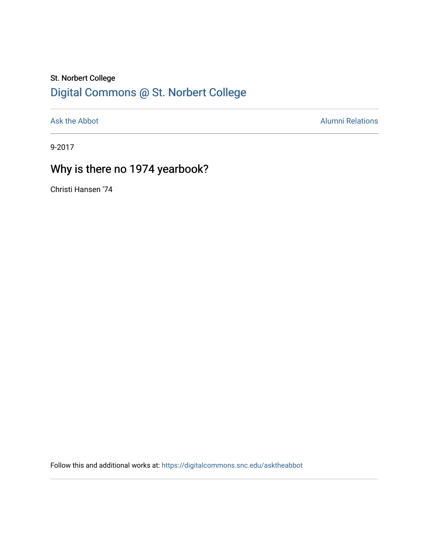## St. Norbert College [Digital Commons @ St. Norbert College](https://digitalcommons.snc.edu/)

[Ask the Abbot](https://digitalcommons.snc.edu/asktheabbot) **Alumni Relations** Alumni Relations

9-2017

# Why is there no 1974 yearbook?

Christi Hansen '74

Follow this and additional works at: [https://digitalcommons.snc.edu/asktheabbot](https://digitalcommons.snc.edu/asktheabbot?utm_source=digitalcommons.snc.edu%2Fasktheabbot%2F125&utm_medium=PDF&utm_campaign=PDFCoverPages)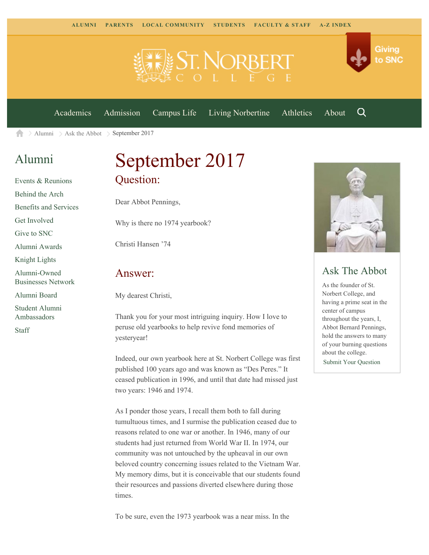

[Academics](https://www.snc.edu/academics) [Admission](https://www.snc.edu/admission) [Campus Life](https://www.snc.edu/campuslife) [Living Norbertine](https://www.snc.edu/livingnorbertine) [Athletics](https://www.snc.edu/athletics) [About](https://www.snc.edu/about)

Q

Giving

to SNC

[Alumni](https://www.snc.edu/alumni/) [Ask the Abbot](https://www.snc.edu/alumni/abbot/)  $\geq$  September 2017 合

### [Alumni](https://www.snc.edu/alumni/index.html)

[Events & Reunions](https://www.snc.edu/alumni/event/index.html) [Behind the Arch](https://www.snc.edu/alumni/event/behindthearch/) [Benefits and Services](https://www.snc.edu/alumni/benefits.html) [Get Involved](https://www.snc.edu/alumni/getinvolved.html) [Give to SNC](http://giving.snc.edu/) [Alumni Awards](https://www.snc.edu/alumni/awards/index.html) [Knight Lights](https://www.snc.edu/alumni/knightlights/index.html) [Alumni-Owned](https://www.snc.edu/alumni/directory/index.html) [Businesses Network](https://www.snc.edu/alumni/directory/index.html) [Alumni Board](https://www.snc.edu/alumni/alumniboard.html) [Student Alumni](https://www.snc.edu/alumni/saa.html) [Ambassadors](https://www.snc.edu/alumni/saa.html)

[Staff](https://www.snc.edu/alumni/contactus.html)

# September 2017 Question:

Dear Abbot Pennings,

Why is there no 1974 yearbook?

Christi Hansen '74

#### Answer:

My dearest Christi,

Thank you for your most intriguing inquiry. How I love to peruse old yearbooks to help revive fond memories of yesteryear!

Indeed, our own yearbook here at St. Norbert College was first published 100 years ago and was known as "Des Peres." It ceased publication in 1996, and until that date had missed just two years: 1946 and 1974.

As I ponder those years, I recall them both to fall during tumultuous times, and I surmise the publication ceased due to reasons related to one war or another. In 1946, many of our students had just returned from World War II. In 1974, our community was not untouched by the upheaval in our own beloved country concerning issues related to the Vietnam War. My memory dims, but it is conceivable that our students found their resources and passions diverted elsewhere during those times.



### Ask The Abbot

As the founder of St. Norbert College, and having a prime seat in the center of campus throughout the years, I, Abbot Bernard Pennings, hold the answers to many of your burning questions about the college. [Submit Your Question](https://www.snc.edu/alumni/abbot/index.html)

To be sure, even the 1973 yearbook was a near miss. In the